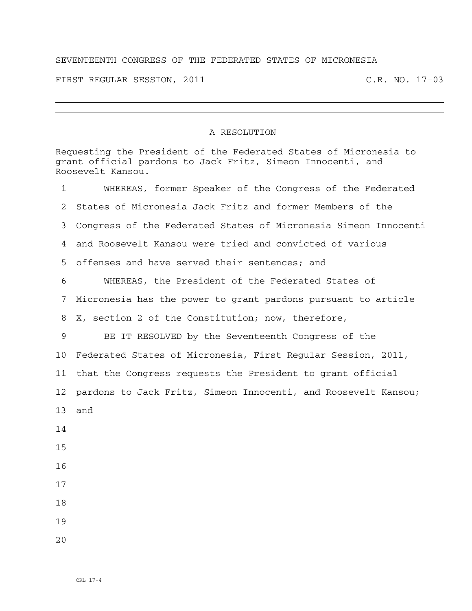## SEVENTEENTH CONGRESS OF THE FEDERATED STATES OF MICRONESIA

FIRST REGULAR SESSION, 2011 C.R. NO. 17-03

## A RESOLUTION

Requesting the President of the Federated States of Micronesia to grant official pardons to Jack Fritz, Simeon Innocenti, and Roosevelt Kansou. 1 WHEREAS, former Speaker of the Congress of the Federated 2 States of Micronesia Jack Fritz and former Members of the 3 Congress of the Federated States of Micronesia Simeon Innocenti 4 and Roosevelt Kansou were tried and convicted of various 5 offenses and have served their sentences; and 6 WHEREAS, the President of the Federated States of 7 Micronesia has the power to grant pardons pursuant to article 8 X, section 2 of the Constitution; now, therefore, 9 BE IT RESOLVED by the Seventeenth Congress of the 10 Federated States of Micronesia, First Regular Session, 2011, 11 that the Congress requests the President to grant official 12 pardons to Jack Fritz, Simeon Innocenti, and Roosevelt Kansou; 13 and 14 15 16 17 18 19 20